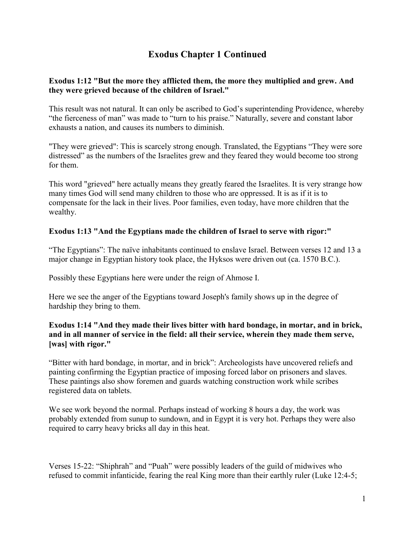# **Exodus Chapter 1 Continued**

#### **Exodus 1:12 "But the more they afflicted them, the more they multiplied and grew. And they were grieved because of the children of Israel."**

This result was not natural. It can only be ascribed to God's superintending Providence, whereby "the fierceness of man" was made to "turn to his praise." Naturally, severe and constant labor exhausts a nation, and causes its numbers to diminish.

"They were grieved": This is scarcely strong enough. Translated, the Egyptians "They were sore distressed" as the numbers of the Israelites grew and they feared they would become too strong for them.

This word "grieved" here actually means they greatly feared the Israelites. It is very strange how many times God will send many children to those who are oppressed. It is as if it is to compensate for the lack in their lives. Poor families, even today, have more children that the wealthy.

## **Exodus 1:13 "And the Egyptians made the children of Israel to serve with rigor:"**

"The Egyptians": The naïve inhabitants continued to enslave Israel. Between verses 12 and 13 a major change in Egyptian history took place, the Hyksos were driven out (ca. 1570 B.C.).

Possibly these Egyptians here were under the reign of Ahmose I.

Here we see the anger of the Egyptians toward Joseph's family shows up in the degree of hardship they bring to them.

## **Exodus 1:14 "And they made their lives bitter with hard bondage, in mortar, and in brick, and in all manner of service in the field: all their service, wherein they made them serve, [was] with rigor."**

"Bitter with hard bondage, in mortar, and in brick": Archeologists have uncovered reliefs and painting confirming the Egyptian practice of imposing forced labor on prisoners and slaves. These paintings also show foremen and guards watching construction work while scribes registered data on tablets.

We see work beyond the normal. Perhaps instead of working 8 hours a day, the work was probably extended from sunup to sundown, and in Egypt it is very hot. Perhaps they were also required to carry heavy bricks all day in this heat.

Verses 15-22: "Shiphrah" and "Puah" were possibly leaders of the guild of midwives who refused to commit infanticide, fearing the real King more than their earthly ruler (Luke 12:4-5;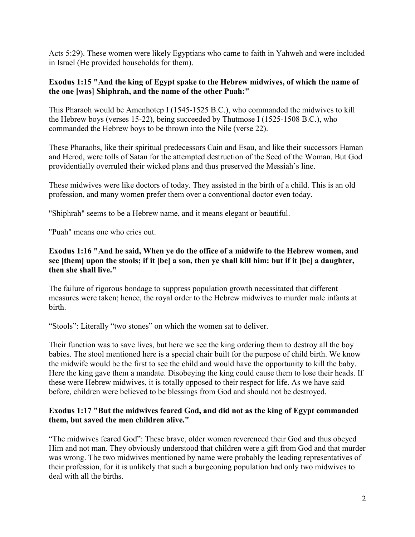Acts 5:29). These women were likely Egyptians who came to faith in Yahweh and were included in Israel (He provided households for them).

## **Exodus 1:15 "And the king of Egypt spake to the Hebrew midwives, of which the name of the one [was] Shiphrah, and the name of the other Puah:"**

This Pharaoh would be Amenhotep I (1545-1525 B.C.), who commanded the midwives to kill the Hebrew boys (verses 15-22), being succeeded by Thutmose I (1525-1508 B.C.), who commanded the Hebrew boys to be thrown into the Nile (verse 22).

These Pharaohs, like their spiritual predecessors Cain and Esau, and like their successors Haman and Herod, were tolls of Satan for the attempted destruction of the Seed of the Woman. But God providentially overruled their wicked plans and thus preserved the Messiah's line.

These midwives were like doctors of today. They assisted in the birth of a child. This is an old profession, and many women prefer them over a conventional doctor even today.

"Shiphrah" seems to be a Hebrew name, and it means elegant or beautiful.

"Puah" means one who cries out.

## **Exodus 1:16 "And he said, When ye do the office of a midwife to the Hebrew women, and see [them] upon the stools; if it [be] a son, then ye shall kill him: but if it [be] a daughter, then she shall live."**

The failure of rigorous bondage to suppress population growth necessitated that different measures were taken; hence, the royal order to the Hebrew midwives to murder male infants at birth.

"Stools": Literally "two stones" on which the women sat to deliver.

Their function was to save lives, but here we see the king ordering them to destroy all the boy babies. The stool mentioned here is a special chair built for the purpose of child birth. We know the midwife would be the first to see the child and would have the opportunity to kill the baby. Here the king gave them a mandate. Disobeying the king could cause them to lose their heads. If these were Hebrew midwives, it is totally opposed to their respect for life. As we have said before, children were believed to be blessings from God and should not be destroyed.

## **Exodus 1:17 "But the midwives feared God, and did not as the king of Egypt commanded them, but saved the men children alive."**

"The midwives feared God": These brave, older women reverenced their God and thus obeyed Him and not man. They obviously understood that children were a gift from God and that murder was wrong. The two midwives mentioned by name were probably the leading representatives of their profession, for it is unlikely that such a burgeoning population had only two midwives to deal with all the births.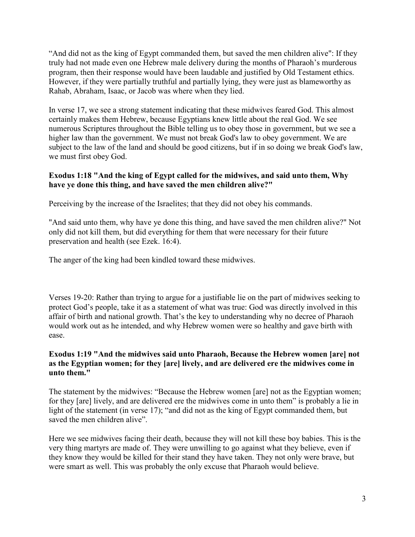"And did not as the king of Egypt commanded them, but saved the men children alive": If they truly had not made even one Hebrew male delivery during the months of Pharaoh's murderous program, then their response would have been laudable and justified by Old Testament ethics. However, if they were partially truthful and partially lying, they were just as blameworthy as Rahab, Abraham, Isaac, or Jacob was where when they lied.

In verse 17, we see a strong statement indicating that these midwives feared God. This almost certainly makes them Hebrew, because Egyptians knew little about the real God. We see numerous Scriptures throughout the Bible telling us to obey those in government, but we see a higher law than the government. We must not break God's law to obey government. We are subject to the law of the land and should be good citizens, but if in so doing we break God's law, we must first obey God.

## **Exodus 1:18 "And the king of Egypt called for the midwives, and said unto them, Why have ye done this thing, and have saved the men children alive?"**

Perceiving by the increase of the Israelites; that they did not obey his commands.

"And said unto them, why have ye done this thing, and have saved the men children alive?" Not only did not kill them, but did everything for them that were necessary for their future preservation and health (see Ezek. 16:4).

The anger of the king had been kindled toward these midwives.

Verses 19-20: Rather than trying to argue for a justifiable lie on the part of midwives seeking to protect God's people, take it as a statement of what was true: God was directly involved in this affair of birth and national growth. That's the key to understanding why no decree of Pharaoh would work out as he intended, and why Hebrew women were so healthy and gave birth with ease.

## **Exodus 1:19 "And the midwives said unto Pharaoh, Because the Hebrew women [are] not as the Egyptian women; for they [are] lively, and are delivered ere the midwives come in unto them."**

The statement by the midwives: "Because the Hebrew women [are] not as the Egyptian women; for they [are] lively, and are delivered ere the midwives come in unto them" is probably a lie in light of the statement (in verse 17); "and did not as the king of Egypt commanded them, but saved the men children alive".

Here we see midwives facing their death, because they will not kill these boy babies. This is the very thing martyrs are made of. They were unwilling to go against what they believe, even if they know they would be killed for their stand they have taken. They not only were brave, but were smart as well. This was probably the only excuse that Pharaoh would believe.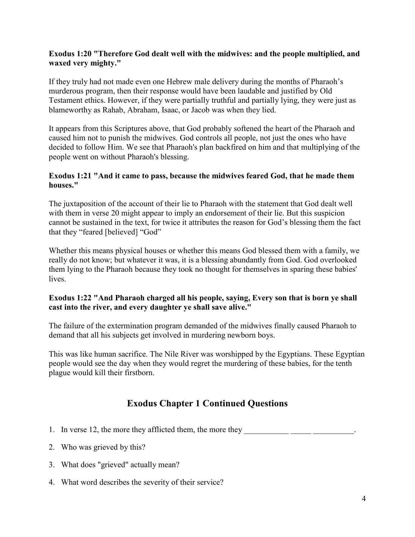### **Exodus 1:20 "Therefore God dealt well with the midwives: and the people multiplied, and waxed very mighty."**

If they truly had not made even one Hebrew male delivery during the months of Pharaoh's murderous program, then their response would have been laudable and justified by Old Testament ethics. However, if they were partially truthful and partially lying, they were just as blameworthy as Rahab, Abraham, Isaac, or Jacob was when they lied.

It appears from this Scriptures above, that God probably softened the heart of the Pharaoh and caused him not to punish the midwives. God controls all people, not just the ones who have decided to follow Him. We see that Pharaoh's plan backfired on him and that multiplying of the people went on without Pharaoh's blessing.

#### **Exodus 1:21 "And it came to pass, because the midwives feared God, that he made them houses."**

The juxtaposition of the account of their lie to Pharaoh with the statement that God dealt well with them in verse 20 might appear to imply an endorsement of their lie. But this suspicion cannot be sustained in the text, for twice it attributes the reason for God's blessing them the fact that they "feared [believed] "God"

Whether this means physical houses or whether this means God blessed them with a family, we really do not know; but whatever it was, it is a blessing abundantly from God. God overlooked them lying to the Pharaoh because they took no thought for themselves in sparing these babies' lives.

#### **Exodus 1:22 "And Pharaoh charged all his people, saying, Every son that is born ye shall cast into the river, and every daughter ye shall save alive."**

The failure of the extermination program demanded of the midwives finally caused Pharaoh to demand that all his subjects get involved in murdering newborn boys.

This was like human sacrifice. The Nile River was worshipped by the Egyptians. These Egyptian people would see the day when they would regret the murdering of these babies, for the tenth plague would kill their firstborn.

# **Exodus Chapter 1 Continued Questions**

- 1. In verse 12, the more they afflicted them, the more they
- 2. Who was grieved by this?
- 3. What does "grieved" actually mean?
- 4. What word describes the severity of their service?